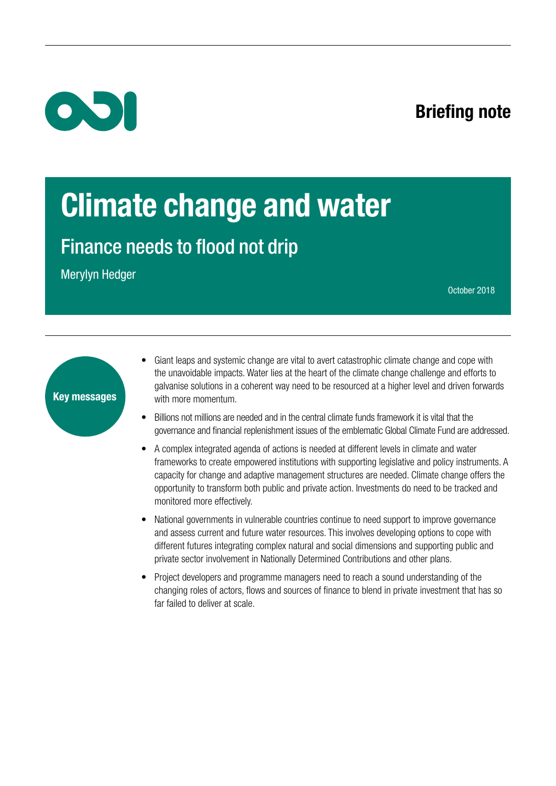### Briefing note



## Climate change and water

Finance needs to flood not drip

Merylyn Hedger

October 2018

# Key messages

- Giant leaps and systemic change are vital to avert catastrophic climate change and cope with the unavoidable impacts. Water lies at the heart of the climate change challenge and efforts to galvanise solutions in a coherent way need to be resourced at a higher level and driven forwards with more momentum.
- Billions not millions are needed and in the central climate funds framework it is vital that the governance and financial replenishment issues of the emblematic Global Climate Fund are addressed.
- A complex integrated agenda of actions is needed at different levels in climate and water frameworks to create empowered institutions with supporting legislative and policy instruments. A capacity for change and adaptive management structures are needed. Climate change offers the opportunity to transform both public and private action. Investments do need to be tracked and monitored more effectively.
- National governments in vulnerable countries continue to need support to improve governance and assess current and future water resources. This involves developing options to cope with different futures integrating complex natural and social dimensions and supporting public and private sector involvement in Nationally Determined Contributions and other plans.
- Project developers and programme managers need to reach a sound understanding of the changing roles of actors, flows and sources of finance to blend in private investment that has so far failed to deliver at scale.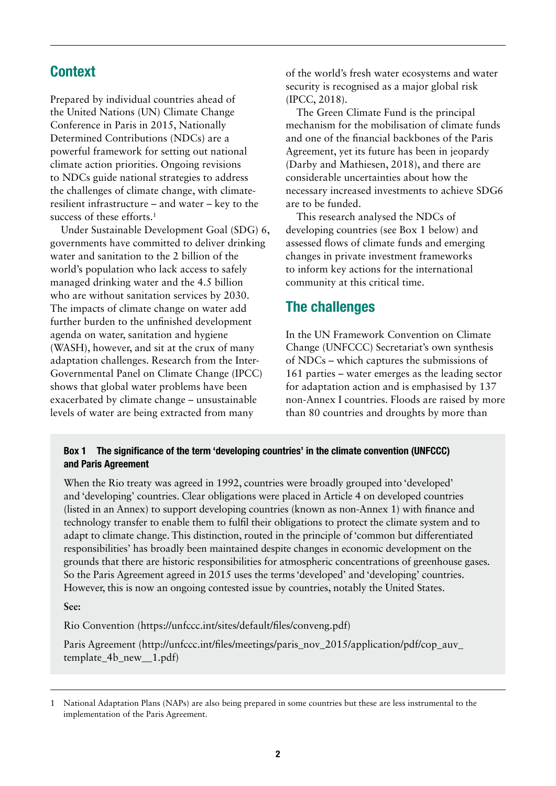#### **Context**

Prepared by individual countries ahead of the United Nations (UN) Climate Change Conference in Paris in 2015, Nationally Determined Contributions (NDCs) are a powerful framework for setting out national climate action priorities. Ongoing revisions to NDCs guide national strategies to address the challenges of climate change, with climateresilient infrastructure – and water – key to the success of these efforts.<sup>1</sup>

Under Sustainable Development Goal (SDG) 6, governments have committed to deliver drinking water and sanitation to the 2 billion of the world's population who lack access to safely managed drinking water and the 4.5 billion who are without sanitation services by 2030. The impacts of climate change on water add further burden to the unfinished development agenda on water, sanitation and hygiene (WASH), however, and sit at the crux of many adaptation challenges. Research from the Inter-Governmental Panel on Climate Change (IPCC) shows that global water problems have been exacerbated by climate change – unsustainable levels of water are being extracted from many

of the world's fresh water ecosystems and water security is recognised as a major global risk (IPCC, 2018).

The Green Climate Fund is the principal mechanism for the mobilisation of climate funds and one of the financial backbones of the Paris Agreement, yet its future has been in jeopardy (Darby and Mathiesen, 2018), and there are considerable uncertainties about how the necessary increased investments to achieve SDG6 are to be funded.

This research analysed the NDCs of developing countries (see Box 1 below) and assessed flows of climate funds and emerging changes in private investment frameworks to inform key actions for the international community at this critical time.

#### The challenges

In the UN Framework Convention on Climate Change (UNFCCC) Secretariat's own synthesis of NDCs – which captures the submissions of 161 parties – water emerges as the leading sector for adaptation action and is emphasised by 137 non-Annex I countries. Floods are raised by more than 80 countries and droughts by more than

#### Box 1 The significance of the term 'developing countries' in the climate convention (UNFCCC) and Paris Agreement

When the Rio treaty was agreed in 1992, countries were broadly grouped into 'developed' and 'developing' countries. Clear obligations were placed in Article 4 on developed countries (listed in an Annex) to support developing countries (known as non-Annex 1) with finance and technology transfer to enable them to fulfil their obligations to protect the climate system and to adapt to climate change. This distinction, routed in the principle of 'common but differentiated responsibilities' has broadly been maintained despite changes in economic development on the grounds that there are historic responsibilities for atmospheric concentrations of greenhouse gases. So the Paris Agreement agreed in 2015 uses the terms 'developed' and 'developing' countries. However, this is now an ongoing contested issue by countries, notably the United States.

**See:** 

Rio Convention ([https://unfccc.int/sites/default/files/conveng.pdf\)](https://unfccc.int/sites/default/files/conveng.pdf)

Paris Agreement [\(http://unfccc.int/files/meetings/paris\\_nov\\_2015/application/pdf/cop\\_auv\\_](http://unfccc.int/files/meetings/paris_nov_2015/application/pdf/cop_auv_template_4b_new__1.pdf) [template\\_4b\\_new\\_\\_1.pdf\)](http://unfccc.int/files/meetings/paris_nov_2015/application/pdf/cop_auv_template_4b_new__1.pdf)

<sup>1</sup> National Adaptation Plans (NAPs) are also being prepared in some countries but these are less instrumental to the implementation of the Paris Agreement.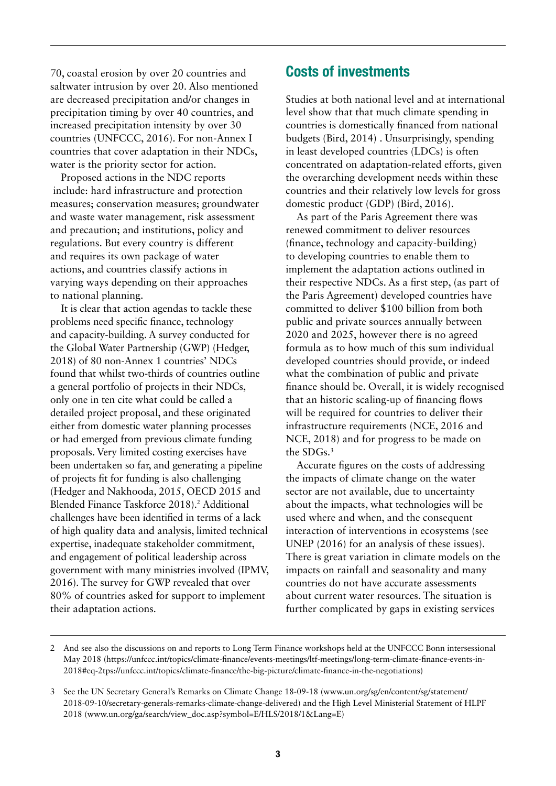70, coastal erosion by over 20 countries and saltwater intrusion by over 20. Also mentioned are decreased precipitation and/or changes in precipitation timing by over 40 countries, and increased precipitation intensity by over 30 countries (UNFCCC, 2016). For non-Annex I countries that cover adaptation in their NDCs, water is the priority sector for action.

Proposed actions in the NDC reports include: hard infrastructure and protection measures; conservation measures; groundwater and waste water management, risk assessment and precaution; and institutions, policy and regulations. But every country is different and requires its own package of water actions, and countries classify actions in varying ways depending on their approaches to national planning.

It is clear that action agendas to tackle these problems need specific finance, technology and capacity-building. A survey conducted for the Global Water Partnership (GWP) (Hedger, 2018) of 80 non-Annex 1 countries' NDCs found that whilst two-thirds of countries outline a general portfolio of projects in their NDCs, only one in ten cite what could be called a detailed project proposal, and these originated either from domestic water planning processes or had emerged from previous climate funding proposals. Very limited costing exercises have been undertaken so far, and generating a pipeline of projects fit for funding is also challenging (Hedger and Nakhooda, 2015, OECD 2015 and Blended Finance Taskforce 2018).<sup>2</sup> Additional challenges have been identified in terms of a lack of high quality data and analysis, limited technical expertise, inadequate stakeholder commitment, and engagement of political leadership across government with many ministries involved (IPMV, 2016). The survey for GWP revealed that over 80% of countries asked for support to implement their adaptation actions.

#### Costs of investments

Studies at both national level and at international level show that that much climate spending in countries is domestically financed from national budgets (Bird, 2014) . Unsurprisingly, spending in least developed countries (LDCs) is often concentrated on adaptation-related efforts, given the overarching development needs within these countries and their relatively low levels for gross domestic product (GDP) (Bird, 2016).

As part of the Paris Agreement there was renewed commitment to deliver resources (finance, technology and capacity-building) to developing countries to enable them to implement the adaptation actions outlined in their respective NDCs. As a first step, (as part of the Paris Agreement) developed countries have committed to deliver \$100 billion from both public and private sources annually between 2020 and 2025, however there is no agreed formula as to how much of this sum individual developed countries should provide, or indeed what the combination of public and private finance should be. Overall, it is widely recognised that an historic scaling-up of financing flows will be required for countries to deliver their infrastructure requirements (NCE, 2016 and NCE, 2018) and for progress to be made on the SDGs.3

Accurate figures on the costs of addressing the impacts of climate change on the water sector are not available, due to uncertainty about the impacts, what technologies will be used where and when, and the consequent interaction of interventions in ecosystems (see UNEP (2016) for an analysis of these issues). There is great variation in climate models on the impacts on rainfall and seasonality and many countries do not have accurate assessments about current water resources. The situation is further complicated by gaps in existing services

<sup>2</sup> And see also the discussions on and reports to Long Term Finance workshops held at the UNFCCC Bonn intersessional May 2018 (https://unfccc.int/topics/climate-finance/events-meetings/ltf-meetings/long-term-climate-finance-events-in-2018#eq-2tps://unfccc.int/topics/climate-finance/the-big-picture/climate-finance-in-the-negotiations)

<sup>3</sup> See the UN Secretary General's Remarks on Climate Change 18-09-18 [\(www.un.org/sg/en/content/sg/statement/](https://www.un.org/sg/en/content/sg/statement/2018-09-10/secretary-generals-remarks-climate-change-delivered) [2018-09-10/secretary-generals-remarks-climate-change-delivered](https://www.un.org/sg/en/content/sg/statement/2018-09-10/secretary-generals-remarks-climate-change-delivered)) and the High Level Ministerial Statement of HLPF 2018 ([www.un.org/ga/search/view\\_doc.asp?symbol=E/HLS/2018/1&Lang=E\)](http://www.un.org/ga/search/view_doc.asp?symbol=E/HLS/2018/1&Lang=E)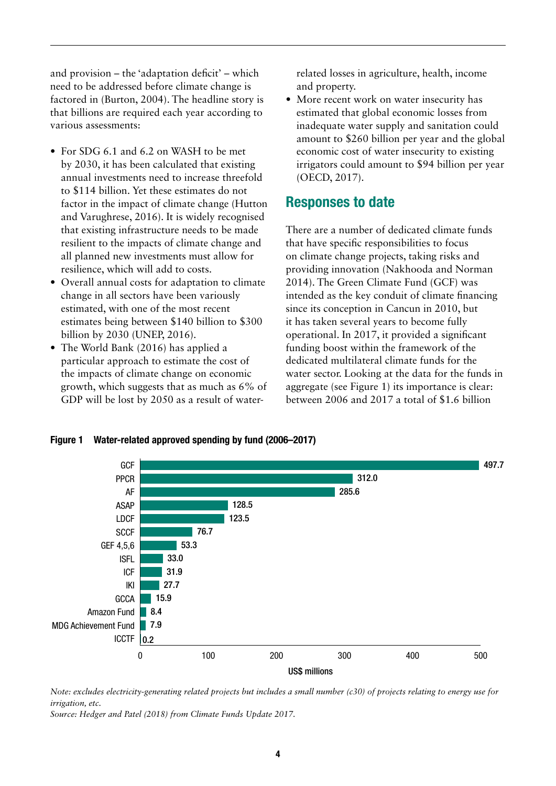and provision – the 'adaptation deficit' – which need to be addressed before climate change is factored in (Burton, 2004). The headline story is that billions are required each year according to various assessments:

- **•** For SDG 6.1 and 6.2 on WASH to be met by 2030, it has been calculated that existing annual investments need to increase threefold to \$114 billion. Yet these estimates do not factor in the impact of climate change (Hutton and Varughrese, 2016). It is widely recognised that existing infrastructure needs to be made resilient to the impacts of climate change and all planned new investments must allow for resilience, which will add to costs.
- **•** Overall annual costs for adaptation to climate change in all sectors have been variously estimated, with one of the most recent estimates being between \$140 billion to \$300 billion by 2030 (UNEP, 2016).
- **•** The World Bank (2016) has applied a particular approach to estimate the cost of the impacts of climate change on economic growth, which suggests that as much as 6% of GDP will be lost by 2050 as a result of water-

related losses in agriculture, health, income and property.

**•** More recent work on water insecurity has estimated that global economic losses from inadequate water supply and sanitation could amount to \$260 billion per year and the global economic cost of water insecurity to existing irrigators could amount to \$94 billion per year (OECD, 2017).

#### Responses to date

There are a number of dedicated climate funds that have specific responsibilities to focus on climate change projects, taking risks and providing innovation (Nakhooda and Norman 2014). The Green Climate Fund (GCF) was intended as the key conduit of climate financing since its conception in Cancun in 2010, but it has taken several years to become fully operational. In 2017, it provided a significant funding boost within the framework of the dedicated multilateral climate funds for the water sector. Looking at the data for the funds in aggregate (see Figure 1) its importance is clear: between 2006 and 2017 a total of \$1.6 billion



Figure 1 Water-related approved spending by fund (2006–2017)

*Note: excludes electricity-generating related projects but includes a small number (c30) of projects relating to energy use for irrigation, etc.*

*Source: Hedger and Patel (2018) from Climate Funds Update 2017.*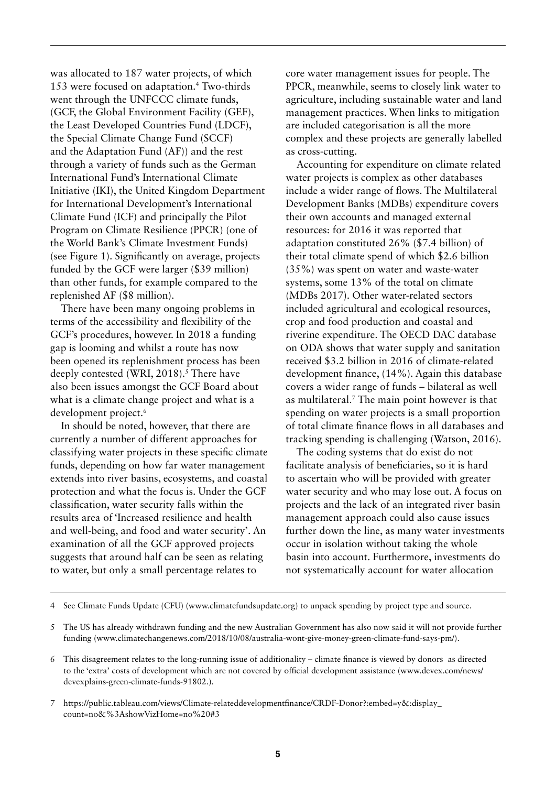was allocated to 187 water projects, of which 153 were focused on adaptation.4 Two-thirds went through the UNFCCC climate funds, (GCF, the Global Environment Facility (GEF), the Least Developed Countries Fund (LDCF), the Special Climate Change Fund (SCCF) and the Adaptation Fund (AF)) and the rest through a variety of funds such as the German International Fund's International Climate Initiative (IKI), the United Kingdom Department for International Development's International Climate Fund (ICF) and principally the Pilot Program on Climate Resilience (PPCR) (one of the World Bank's Climate Investment Funds) (see Figure 1). Significantly on average, projects funded by the GCF were larger (\$39 million) than other funds, for example compared to the replenished AF (\$8 million).

There have been many ongoing problems in terms of the accessibility and flexibility of the GCF's procedures, however. In 2018 a funding gap is looming and whilst a route has now been opened its replenishment process has been deeply contested (WRI, 2018).<sup>5</sup> There have also been issues amongst the GCF Board about what is a climate change project and what is a development project.<sup>6</sup>

In should be noted, however, that there are currently a number of different approaches for classifying water projects in these specific climate funds, depending on how far water management extends into river basins, ecosystems, and coastal protection and what the focus is. Under the GCF classification, water security falls within the results area of 'Increased resilience and health and well-being, and food and water security'. An examination of all the GCF approved projects suggests that around half can be seen as relating to water, but only a small percentage relates to

core water management issues for people. The PPCR, meanwhile, seems to closely link water to agriculture, including sustainable water and land management practices. When links to mitigation are included categorisation is all the more complex and these projects are generally labelled as cross-cutting.

Accounting for expenditure on climate related water projects is complex as other databases include a wider range of flows. The Multilateral Development Banks (MDBs) expenditure covers their own accounts and managed external resources: for 2016 it was reported that adaptation constituted 26% (\$7.4 billion) of their total climate spend of which \$2.6 billion (35%) was spent on water and waste-water systems, some 13% of the total on climate (MDBs 2017). Other water-related sectors included agricultural and ecological resources, crop and food production and coastal and riverine expenditure. The OECD DAC database on ODA shows that water supply and sanitation received \$3.2 billion in 2016 of climate-related development finance, (14%). Again this database covers a wider range of funds – bilateral as well as multilateral.7 The main point however is that spending on water projects is a small proportion of total climate finance flows in all databases and tracking spending is challenging (Watson, 2016).

The coding systems that do exist do not facilitate analysis of beneficiaries, so it is hard to ascertain who will be provided with greater water security and who may lose out. A focus on projects and the lack of an integrated river basin management approach could also cause issues further down the line, as many water investments occur in isolation without taking the whole basin into account. Furthermore, investments do not systematically account for water allocation

4 See Climate Funds Update (CFU) [\(www.climatefundsupdate.org](http://www.climatefundsupdate.org)) to unpack spending by project type and source.

<sup>5</sup> The US has already withdrawn funding and the new Australian Government has also now said it will not provide further funding ([www.climatechangenews.com/2018/10/08/australia-wont-give-money-green-climate-fund-says-pm/\)](http://www.climatechangenews.com/2018/10/08/australia-wont-give-money-green-climate-fund-says-pm/).

<sup>6</sup> This disagreement relates to the long-running issue of additionality – climate finance is viewed by donors as directed to the 'extra' costs of development which are not covered by official development assistance ([www.devex.com/news/](https://www.devex.com/news/devexplains-green-climate-funds-91802) [devexplains-green-climate-funds-91802](https://www.devex.com/news/devexplains-green-climate-funds-91802).).

<sup>7</sup> [https://public.tableau.com/views/Climate-relateddevelopmentfinance/CRDF-Donor?:](https://public.tableau.com/views/Climate-relateddevelopmentfinance/CRDF-Donor?)embed=y&:display\_ count=no&%3AshowVizHome=no%20#3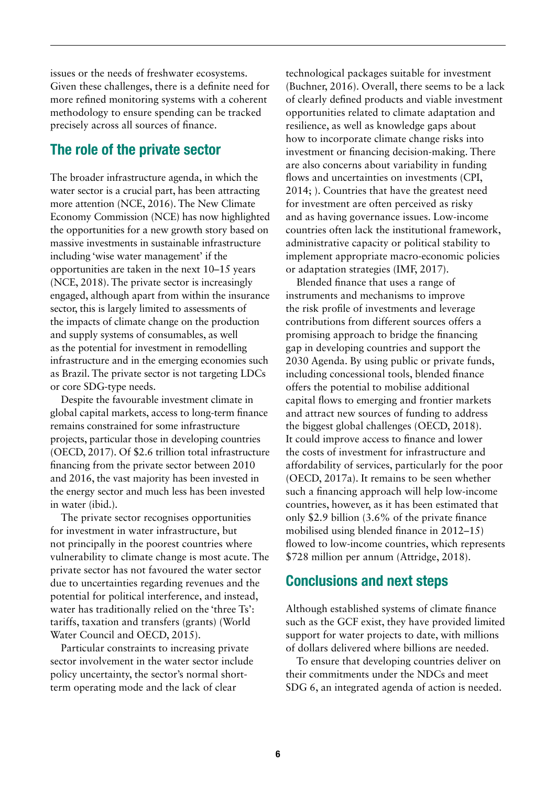issues or the needs of freshwater ecosystems. Given these challenges, there is a definite need for more refined monitoring systems with a coherent methodology to ensure spending can be tracked precisely across all sources of finance.

#### The role of the private sector

The broader infrastructure agenda, in which the water sector is a crucial part, has been attracting more attention (NCE, 2016). The New Climate Economy Commission (NCE) has now highlighted the opportunities for a new growth story based on massive investments in sustainable infrastructure including 'wise water management' if the opportunities are taken in the next 10–15 years (NCE, 2018). The private sector is increasingly engaged, although apart from within the insurance sector, this is largely limited to assessments of the impacts of climate change on the production and supply systems of consumables, as well as the potential for investment in remodelling infrastructure and in the emerging economies such as Brazil. The private sector is not targeting LDCs or core SDG-type needs.

Despite the favourable investment climate in global capital markets, access to long-term finance remains constrained for some infrastructure projects, particular those in developing countries (OECD, 2017). Of \$2.6 trillion total infrastructure financing from the private sector between 2010 and 2016, the vast majority has been invested in the energy sector and much less has been invested in water (ibid.).

The private sector recognises opportunities for investment in water infrastructure, but not principally in the poorest countries where vulnerability to climate change is most acute. The private sector has not favoured the water sector due to uncertainties regarding revenues and the potential for political interference, and instead, water has traditionally relied on the 'three Ts': tariffs, taxation and transfers (grants) (World Water Council and OECD, 2015).

Particular constraints to increasing private sector involvement in the water sector include policy uncertainty, the sector's normal shortterm operating mode and the lack of clear

technological packages suitable for investment (Buchner, 2016). Overall, there seems to be a lack of clearly defined products and viable investment opportunities related to climate adaptation and resilience, as well as knowledge gaps about how to incorporate climate change risks into investment or financing decision-making. There are also concerns about variability in funding flows and uncertainties on investments (CPI, 2014; ). Countries that have the greatest need for investment are often perceived as risky and as having governance issues. Low-income countries often lack the institutional framework, administrative capacity or political stability to implement appropriate macro-economic policies or adaptation strategies (IMF, 2017).

Blended finance that uses a range of instruments and mechanisms to improve the risk profile of investments and leverage contributions from different sources offers a promising approach to bridge the financing gap in developing countries and support the 2030 Agenda. By using public or private funds, including concessional tools, blended finance offers the potential to mobilise additional capital flows to emerging and frontier markets and attract new sources of funding to address the biggest global challenges (OECD, 2018). It could improve access to finance and lower the costs of investment for infrastructure and affordability of services, particularly for the poor (OECD, 2017a). It remains to be seen whether such a financing approach will help low-income countries, however, as it has been estimated that only \$2.9 billion (3.6% of the private finance mobilised using blended finance in 2012–15) flowed to low-income countries, which represents \$728 million per annum (Attridge, 2018).

#### Conclusions and next steps

Although established systems of climate finance such as the GCF exist, they have provided limited support for water projects to date, with millions of dollars delivered where billions are needed.

To ensure that developing countries deliver on their commitments under the NDCs and meet SDG 6, an integrated agenda of action is needed.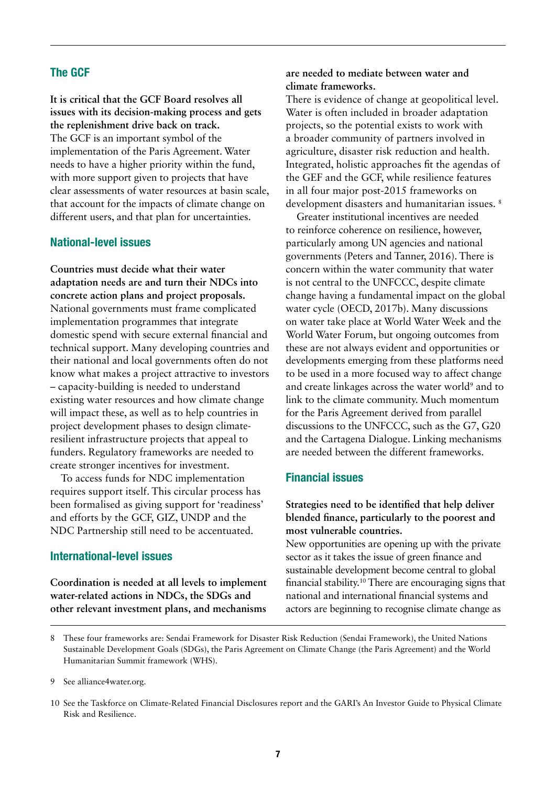#### The GCF

**It is critical that the GCF Board resolves all issues with its decision-making process and gets the replenishment drive back on track.**  The GCF is an important symbol of the implementation of the Paris Agreement. Water needs to have a higher priority within the fund, with more support given to projects that have clear assessments of water resources at basin scale, that account for the impacts of climate change on different users, and that plan for uncertainties.

#### National-level issues

**Countries must decide what their water adaptation needs are and turn their NDCs into concrete action plans and project proposals.**  National governments must frame complicated implementation programmes that integrate domestic spend with secure external financial and technical support. Many developing countries and their national and local governments often do not know what makes a project attractive to investors – capacity-building is needed to understand existing water resources and how climate change will impact these, as well as to help countries in project development phases to design climateresilient infrastructure projects that appeal to funders. Regulatory frameworks are needed to create stronger incentives for investment.

To access funds for NDC implementation requires support itself. This circular process has been formalised as giving support for 'readiness' and efforts by the GCF, GIZ, UNDP and the NDC Partnership still need to be accentuated.

#### International-level issues

**Coordination is needed at all levels to implement water-related actions in NDCs, the SDGs and other relevant investment plans, and mechanisms** 

#### **are needed to mediate between water and climate frameworks.**

There is evidence of change at geopolitical level. Water is often included in broader adaptation projects, so the potential exists to work with a broader community of partners involved in agriculture, disaster risk reduction and health. Integrated, holistic approaches fit the agendas of the GEF and the GCF, while resilience features in all four major post-2015 frameworks on development disasters and humanitarian issues. 8

Greater institutional incentives are needed to reinforce coherence on resilience, however, particularly among UN agencies and national governments (Peters and Tanner, 2016). There is concern within the water community that water is not central to the UNFCCC, despite climate change having a fundamental impact on the global water cycle (OECD, 2017b). Many discussions on water take place at World Water Week and the World Water Forum, but ongoing outcomes from these are not always evident and opportunities or developments emerging from these platforms need to be used in a more focused way to affect change and create linkages across the water world<sup>9</sup> and to link to the climate community. Much momentum for the Paris Agreement derived from parallel discussions to the UNFCCC, such as the G7, G20 and the Cartagena Dialogue. Linking mechanisms are needed between the different frameworks.

#### Financial issues

#### **Strategies need to be identified that help deliver blended finance, particularly to the poorest and most vulnerable countries.**

New opportunities are opening up with the private sector as it takes the issue of green finance and sustainable development become central to global financial stability.10 There are encouraging signs that national and international financial systems and actors are beginning to recognise climate change as

<sup>8</sup> These four frameworks are: Sendai Framework for Disaster Risk Reduction (Sendai Framework), the United Nations Sustainable Development Goals (SDGs), the Paris Agreement on Climate Change (the Paris Agreement) and the World Humanitarian Summit framework (WHS).

<sup>9</sup> See [alliance4water.org](http://alliance4water.org).

<sup>10</sup> See the Taskforce on Climate-Related Financial Disclosures report and the GARI's An Investor Guide to Physical Climate Risk and Resilience.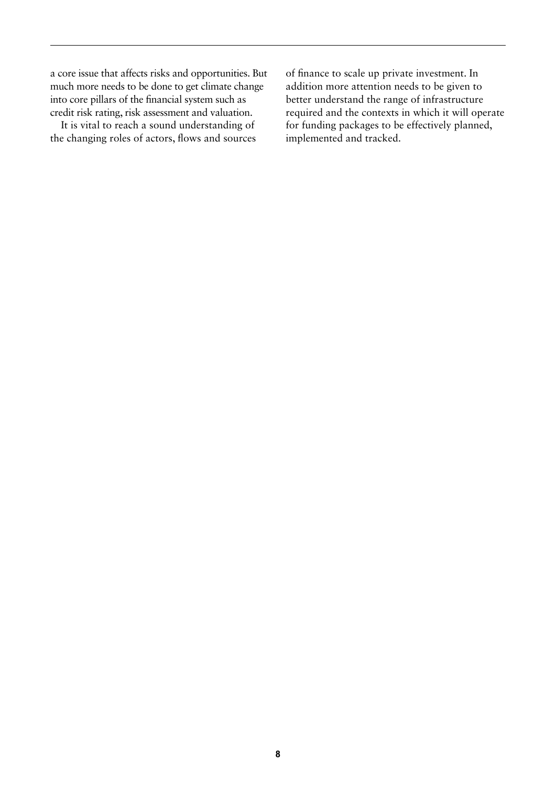a core issue that affects risks and opportunities. But much more needs to be done to get climate change into core pillars of the financial system such as credit risk rating, risk assessment and valuation.

It is vital to reach a sound understanding of the changing roles of actors, flows and sources of finance to scale up private investment. In addition more attention needs to be given to better understand the range of infrastructure required and the contexts in which it will operate for funding packages to be effectively planned, implemented and tracked.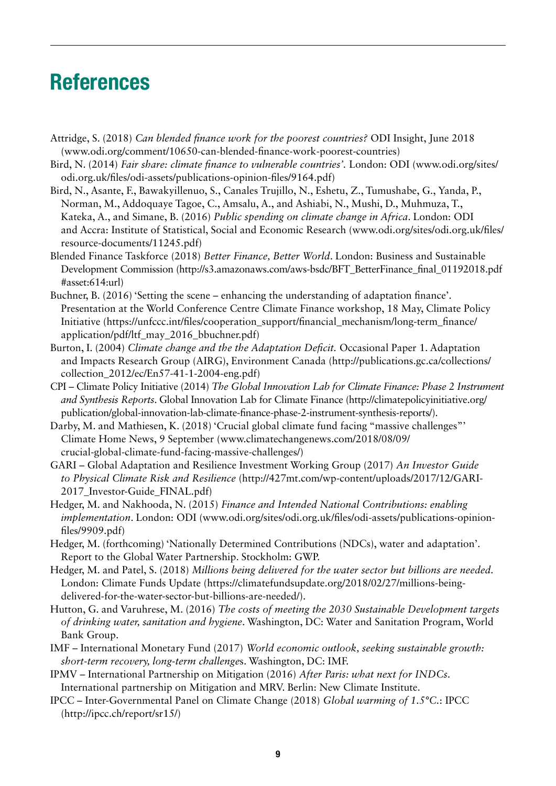## References

- Attridge, S. (2018) *Can blended finance work for the poorest countries?* ODI Insight, June 2018 [\(www.odi.org/comment/10650-can-blended-finance-work-poorest-countries\)](https://www.odi.org/comment/10650-can-blended-finance-work-poorest-countries)
- Bird, N. (2014) *Fair share: climate finance to vulnerable countries'.* London: ODI [\(www.odi.org/sites/](http://www.odi.org/sites/odi.org.uk/files/odi-assets/publications-opinion-files/9164.pdf) [odi.org.uk/files/odi-assets/publications-opinion-files/9164.pdf](http://www.odi.org/sites/odi.org.uk/files/odi-assets/publications-opinion-files/9164.pdf))
- Bird, N., Asante, F., Bawakyillenuo, S., Canales Trujillo, N., Eshetu, Z., Tumushabe, G., Yanda, P., Norman, M., Addoquaye Tagoe, C., Amsalu, A., and Ashiabi, N., Mushi, D., Muhmuza, T., Kateka, A., and Simane, B. (2016) *Public spending on climate change in Africa*. London: ODI and Accra: Institute of Statistical, Social and Economic Research [\(www.odi.org/sites/odi.org.uk/files/](http://www.odi.org/sites/odi.org.uk/files/resource-documents/11245.pdf) [resource-documents/11245.pdf\)](http://www.odi.org/sites/odi.org.uk/files/resource-documents/11245.pdf)
- Blended Finance Taskforce (2018) *Better Finance, Better World*. London: Business and Sustainable Development Commission [\(http://s3.amazonaws.com/aws-bsdc/BFT\\_BetterFinance\\_final\\_01192018.pdf](http://s3.amazonaws.com/aws-bsdc/BFT_BetterFinance_final_01192018.pdf#asset:614:url) [#asset:614:url\)](http://s3.amazonaws.com/aws-bsdc/BFT_BetterFinance_final_01192018.pdf#asset:614:url)
- Buchner, B. (2016) 'Setting the scene enhancing the understanding of adaptation finance'. Presentation at the World Conference Centre Climate Finance workshop, 18 May, Climate Policy Initiative ([https://unfccc.int/files/cooperation\\_support/financial\\_mechanism/long-term\\_finance/](https://unfccc.int/files/cooperation_support/financial_mechanism/long-term_finance/application/pdf/ltf_may_2016_bbuchner.pdf) [application/pdf/ltf\\_may\\_2016\\_bbuchner.pdf](https://unfccc.int/files/cooperation_support/financial_mechanism/long-term_finance/application/pdf/ltf_may_2016_bbuchner.pdf))
- Burton, I. (2004) *Climate change and the the Adaptation Deficit.* Occasional Paper 1. Adaptation and Impacts Research Group (AIRG), Environment Canada ([http://publications.gc.ca/collections/](http://publications.gc.ca/collections/collection_2012/ec/En57-41-1-2004-eng.pdf) [collection\\_2012/ec/En57-41-1-2004-eng.pdf](http://publications.gc.ca/collections/collection_2012/ec/En57-41-1-2004-eng.pdf))
- CPI Climate Policy Initiative (2014) *The Global Innovation Lab for Climate Finance: Phase 2 Instrument and Synthesis Reports*. Global Innovation Lab for Climate Finance ([http://climatepolicyinitiative.org/](http://climatepolicyinitiative.org/publication/global-innovation-lab-climate-finance-phase-2-instrument-synthesis-reports/) [publication/global-innovation-lab-climate-finance-phase-2-instrument-synthesis-reports/\)](http://climatepolicyinitiative.org/publication/global-innovation-lab-climate-finance-phase-2-instrument-synthesis-reports/).
- Darby, M. and Mathiesen, K. (2018) 'Crucial global climate fund facing "massive challenges"' Climate Home News, 9 September [\(www.climatechangenews.com/2018/08/09/](http://www.climatechangenews.com/2018/08/09/crucial-global-climate-fund-facing-massive-challenges/) [crucial-global-climate-fund-facing-massive-challenges/](http://www.climatechangenews.com/2018/08/09/crucial-global-climate-fund-facing-massive-challenges/))
- GARI Global Adaptation and Resilience Investment Working Group (2017) *An Investor Guide to Physical Climate Risk and Resilience* [\(http://427mt.com/wp-content/uploads/2017/12/GARI-](http://427mt.com/wp-content/uploads/2017/12/GARI-2017_Investor-Guide_FINAL.pdf)[2017\\_Investor-Guide\\_FINAL.pdf\)](http://427mt.com/wp-content/uploads/2017/12/GARI-2017_Investor-Guide_FINAL.pdf)
- Hedger, M. and Nakhooda, N. (2015) *Finance and Intended National Contributions: enabling implementation*. London: ODI [\(www.odi.org/sites/odi.org.uk/files/odi-assets/publications-opinion](http://www.odi.org/sites/odi.org.uk/files/odi-assets/publications-opinion-files/9909.pdf)[files/9909.pdf](http://www.odi.org/sites/odi.org.uk/files/odi-assets/publications-opinion-files/9909.pdf))
- Hedger, M. (forthcoming) 'Nationally Determined Contributions (NDCs), water and adaptation'. Report to the Global Water Partnership. Stockholm: GWP.
- Hedger, M. and Patel, S. (2018) *Millions being delivered for the water sector but billions are needed.* London: Climate Funds Update ([https://climatefundsupdate.org/2018/02/27/millions-being](https://climatefundsupdate.org/2018/02/27/millions-being-delivered-for-the-water-sector-but-billions-are-needed/)[delivered-for-the-water-sector-but-billions-are-needed/\)](https://climatefundsupdate.org/2018/02/27/millions-being-delivered-for-the-water-sector-but-billions-are-needed/).
- Hutton, G. and Varuhrese, M. (2016) *The costs of meeting the 2030 Sustainable Development targets of drinking water, sanitation and hygiene*. Washington, DC: Water and Sanitation Program, World Bank Group.
- IMF International Monetary Fund (2017) *World economic outlook, seeking sustainable growth: short-term recovery, long-term challenge*s. Washington, DC: IMF.
- IPMV International Partnership on Mitigation (2016) *After Paris: what next for INDCs*. International partnership on Mitigation and MRV. Berlin: New Climate Institute.
- IPCC Inter-Governmental Panel on Climate Change (2018) *Global warming of 1.5°C.*: IPCC [\(http://ipcc.ch/report/sr15/](http://ipcc.ch/report/sr15/))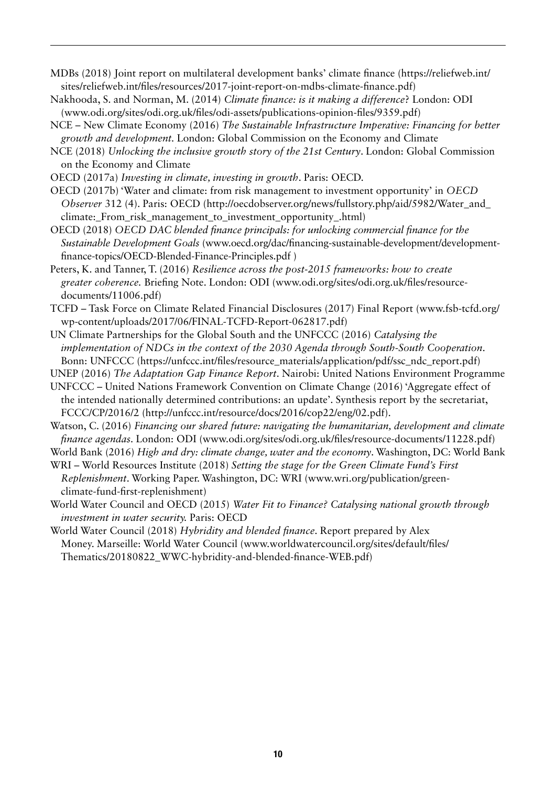MDBs (2018) Joint report on multilateral development banks' climate finance ([https://reliefweb.int/](https://reliefweb.int/sites/reliefweb.int/files/resources/2017-joint-report-on-mdbs-climate-finance.pdf) [sites/reliefweb.int/files/resources/2017-joint-report-on-mdbs-climate-finance.pdf\)](https://reliefweb.int/sites/reliefweb.int/files/resources/2017-joint-report-on-mdbs-climate-finance.pdf)

Nakhooda, S. and Norman, M. (2014) *Climate finance: is it making a difference*? London: ODI [\(www.odi.org/sites/odi.org.uk/files/odi-assets/publications-opinion-files/9359.pdf](https://www.odi.org/sites/odi.org.uk/files/odi-assets/publications-opinion-files/9359.pdf))

- NCE New Climate Economy (2016) *The Sustainable Infrastructure Imperative: Financing for better growth and development.* London: Global Commission on the Economy and Climate
- NCE (2018) *Unlocking the inclusive growth story of the 21st Century*. London: Global Commission on the Economy and Climate
- OECD (2017a) *Investing in climate, investing in growth*. Paris: OECD.
- OECD (2017b) 'Water and climate: from risk management to investment opportunity' in *OECD Observer* 312 (4). Paris: OECD [\(http://oecdobserver.org/news/fullstory.php/aid/5982/Water\\_and\\_](http://oecdobserver.org/news/fullstory.php/aid/5982/Water_and_climate:_From_risk_management_to_investment_opportunity_.html) [climate:\\_From\\_risk\\_management\\_to\\_investment\\_opportunity\\_.html\)](http://oecdobserver.org/news/fullstory.php/aid/5982/Water_and_climate:_From_risk_management_to_investment_opportunity_.html)
- OECD (2018) *OECD DAC blended finance principals: for unlocking commercial finance for the Sustainable Development Goals* [\(www.oecd.org/dac/financing-sustainable-development/development](https://www.oecd.org/dac/financing-sustainable-development/development-finance-topics/OECD-Blended-Finance-Principles.pdf)[finance-topics/OECD-Blended-Finance-Principles.pdf](https://www.oecd.org/dac/financing-sustainable-development/development-finance-topics/OECD-Blended-Finance-Principles.pdf) )
- Peters, K. and Tanner, T. (2016) *Resilience across the post-2015 frameworks: how to create greater coherence.* Briefing Note. London: ODI [\(www.odi.org/sites/odi.org.uk/files/resource](http://www.odi.org/sites/odi.org.uk/files/resource-documents/11006.pdf)[documents/11006.pdf](http://www.odi.org/sites/odi.org.uk/files/resource-documents/11006.pdf))
- TCFD Task Force on Climate Related Financial Disclosures (2017) Final Report [\(www.fsb-tcfd.org/](https://www.fsb-tcfd.org/wp-content/uploads/2017/06/FINAL-TCFD-Report-062817.pdf) [wp-content/uploads/2017/06/FINAL-TCFD-Report-062817.pdf\)](https://www.fsb-tcfd.org/wp-content/uploads/2017/06/FINAL-TCFD-Report-062817.pdf)
- UN Climate Partnerships for the Global South and the UNFCCC (2016) *Catalysing the implementation of NDCs in the context of the 2030 Agenda through South-South Cooperation*. Bonn: UNFCCC [\(https://unfccc.int/files/resource\\_materials/application/pdf/ssc\\_ndc\\_report.pdf\)](https://unfccc.int/files/resource_materials/application/pdf/ssc_ndc_report.pdf)

UNEP (2016) *The Adaptation Gap Finance Report*. Nairobi: United Nations Environment Programme

- UNFCCC United Nations Framework Convention on Climate Change (2016) 'Aggregate effect of the intended nationally determined contributions: an update'. Synthesis report by the secretariat, FCCC/CP/2016/2 ([http://unfccc.int/resource/docs/2016/cop22/eng/02.pdf\)](http://unfccc.int/resource/docs/2016/cop22/eng/02.pdf).
- Watson, C. (2016) *Financing our shared future: navigating the humanitarian, development and climate finance agendas.* London: ODI [\(www.odi.org/sites/odi.org.uk/files/resource-documents/11228.pdf\)](https://www.odi.org/sites/odi.org.uk/files/resource-documents/11228.pdf)

World Bank (2016) *High and dry: climate change, water and the economy*. Washington, DC: World Bank

WRI – World Resources Institute (2018) *Setting the stage for the Green Climate Fund's First Replenishment*. Working Paper. Washington, DC: WRI ([www.wri.org/publication/green](http://www.wri.org/publication/green-climate-fund-first-replenishment)[climate-fund-first-replenishment](http://www.wri.org/publication/green-climate-fund-first-replenishment))

World Water Council and OECD (2015) *Water Fit to Finance? Catalysing national growth through investment in water security.* Paris: OECD

World Water Council (2018) *Hybridity and blended finance*. Report prepared by Alex Money. Marseille: World Water Council [\(www.worldwatercouncil.org/sites/default/files/](http://www.worldwatercouncil.org/sites/default/files/Thematics/20180822_WWC-hybridity-and-blended-finance-WEB.pdf) [Thematics/20180822\\_WWC-hybridity-and-blended-finance-WEB.pdf](http://www.worldwatercouncil.org/sites/default/files/Thematics/20180822_WWC-hybridity-and-blended-finance-WEB.pdf))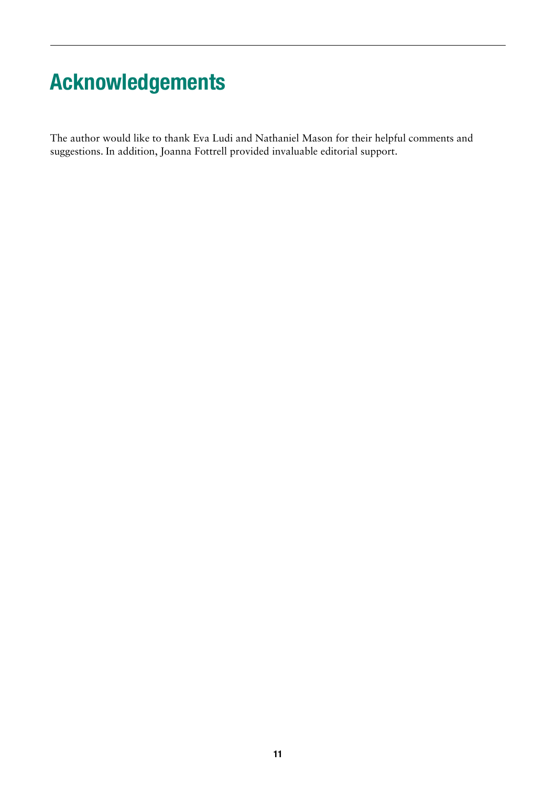## Acknowledgements

The author would like to thank Eva Ludi and Nathaniel Mason for their helpful comments and suggestions. In addition, Joanna Fottrell provided invaluable editorial support.